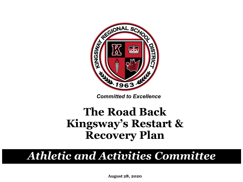

*Committed to Excellence*

### **The Road Back Kingsway's Restart & Recovery Plan**

### *Athletic and Activities Committee*

**August 28, 2020**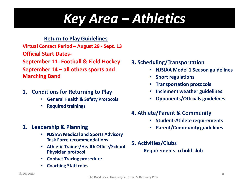### *Key Area – Athletics*

#### **Return to Play Guidelines**

**Virtual Contact Period – August 29 - Sept. 13**

**Official Start Dates-**

**September 11- Football & Field Hockey**

**September 14 – all others sports and Marching Band**

- **1. Conditions for Returning to Play**
	- **General Health & Safety Protocols**
	- **Required trainings**
- **3. Scheduling/Transportation** 
	- **NJSIAA Model 1 Season guidelines**
	- **Sport regulations**
	- **Transportation protocols**
	- **Inclement weather guidelines**
	- **Opponents/Officials guidelines**

#### **4. Athlete/Parent & Community**

- **Student-Athlete requirements**
- **Parent/Community guidelines**
- **2. Leadership & Planning**
	- **NJSIAA Medical and Sports Advisory Task Force recommendations**
	- **Athletic Trainer/Health Office/School Physician protocol**
	- **Contact Tracing procedure**
	- **Coaching Staff roles**

**5. Activities/Clubs Requirements to hold club**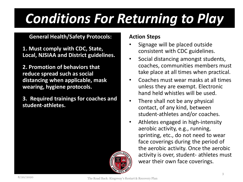#### **General Health/Safety Protocols:**

**1. Must comply with CDC, State, Local, NJSIAA and District guidelines.** 

**2. Promotion of behaviors that reduce spread such as social distancing when applicable, mask wearing, hygiene protocols.** 

**3. Required trainings for coaches and student-athletes.** 



#### **Action Steps**

- Signage will be placed outside consistent with CDC guidelines.
- Social distancing amongst students, coaches, communities members must take place at all times when practical.
- Coaches must wear masks at all times unless they are exempt. Electronic hand held whistles will be used.
- There shall not be any physical contact, of any kind, between student-athletes and/or coaches.
- Athletes engaged in high-intensity aerobic activity, e.g., running, sprinting, etc., do not need to wear face coverings during the period of the aerobic activity. Once the aerobic activity is over, student- athletes must wear their own face coverings.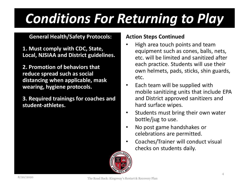#### **General Health/Safety Protocols:**

**1. Must comply with CDC, State, Local, NJSIAA and District guidelines.** 

**2. Promotion of behaviors that reduce spread such as social distancing when applicable, mask wearing, hygiene protocols.** 

**3. Required trainings for coaches and student-athletes.** 

- High area touch points and team equipment such as cones, balls, nets, etc. will be limited and sanitized after each practice. Students will use their own helmets, pads, sticks, shin guards, etc.
- Each team will be supplied with mobile sanitizing units that include EPA and District approved sanitizers and hard surface wipes.
- Students must bring their own water bottle/jug to use.
- No post game handshakes or celebrations are permitted.
- Coaches/Trainer will conduct visual checks on students daily.

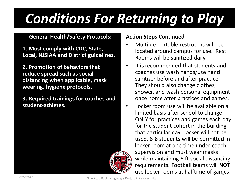#### **General Health/Safety Protocols:**

**1. Must comply with CDC, State, Local, NJSIAA and District guidelines.** 

**2. Promotion of behaviors that reduce spread such as social distancing when applicable, mask wearing, hygiene protocols.** 

**3. Required trainings for coaches and student-athletes.** 



- Multiple portable restrooms will be located around campus for use. Rest Rooms will be sanitized daily.
- It is recommended that students and coaches use wash hands/use hand sanitizer before and after practice. They should also change clothes, shower, and wash personal equipment once home after practices and games.
- use locker rooms at halftime of games. • Locker room use will be available on a limited basis after school to change ONLY for practices and games each day for the student cohort in the building that particular day. Locker will not be used. 6-8 students will be permitted in locker room at one time under coach supervision and must wear masks while maintaining 6 ft social distancing requirements. Football teams will **NOT**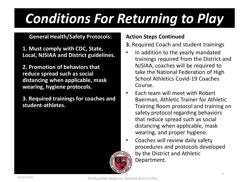#### **General Health/Safety Protocols:**

**1. Must comply with CDC, State, Local, NJSIAA and District guidelines.** 

**2. Promotion of behaviors that reduce spread such as social distancing when applicable, mask wearing, hygiene protocols.** 

**3. Required trainings for coaches and student-athletes.** 



#### **Action Steps Continued**

#### **3.** Required Coach and student trainings

- In addition to the yearly mandated trainings required from the District and NJSIAA, coaches will be required to take the National Federation of High School Athletics Covid-19 Coaches Course.
- Each team will meet with Robert Baerman, Athletic Trainer for Athletic Training Room protocol and training on safety protocol regarding behaviors that reduce spread such as social distancing when applicable, mask wearing, and proper hygiene.
- Coaches will review daily safety procedures and protocols developed by the District and Athletic Department.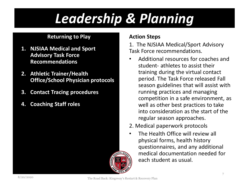#### **Returning to Play**

- **1. NJSIAA Medical and Sport Advisory Task Force Recommendations**
- **2. Athletic Trainer/Health Office/School Physician protocols**
- **3. Contact Tracing procedures**
- **4. Coaching Staff roles**

#### **Action Steps**

1. The NJSIAA Medical/Sport Advisory Task Force recommendations.

- Additional resources for coaches and student- athletes to assist their training during the virtual contact period. The Task Force released Fall season guidelines that will assist with running practices and managing competition in a safe environment, as well as other best practices to take into consideration as the start of the regular season approaches.
- 2. Medical paperwork protocols
- The Health Office will review all physical forms, health history questionnaires, and any additional medical documentation needed for each student as usual.

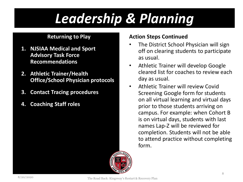#### **Returning to Play**

- **1. NJSIAA Medical and Sport Advisory Task Force Recommendations**
- **2. Athletic Trainer/Health Office/School Physician protocols**
- **3. Contact Tracing procedures**
- **4. Coaching Staff roles**

- The District School Physician will sign off on clearing students to participate as usual.
- Athletic Trainer will develop Google cleared list for coaches to review each day as usual.
	- Athletic Trainer will review Covid Screening Google form for students on all virtual learning and virtual days prior to those students arriving on campus. For example: when Cohort B is on virtual days, students with last names Lap-Z will be reviewed for completion. Students will not be able to attend practice without completing form.

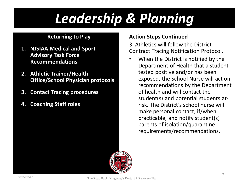#### **Returning to Play**

- **1. NJSIAA Medical and Sport Advisory Task Force Recommendations**
- **2. Athletic Trainer/Health Office/School Physician protocols**
- **3. Contact Tracing procedures**
- **4. Coaching Staff roles**

#### **Action Steps Continued**

3. Athletics will follow the District Contract Tracing Notification Protocol.

When the District is notified by the Department of Health that a student tested positive and/or has been exposed, the School Nurse will act on recommendations by the Department of health and will contact the student(s) and potential students atrisk. The District's school nurse will make personal contact, if/when practicable, and notify student(s) parents of isolation/quarantine requirements/recommendations.

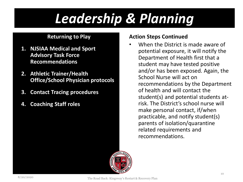#### **Returning to Play**

- **1. NJSIAA Medical and Sport Advisory Task Force Recommendations**
- **2. Athletic Trainer/Health Office/School Physician protocols**
- **3. Contact Tracing procedures**
- **4. Coaching Staff roles**

#### **Action Steps Continued**

• When the District is made aware of potential exposure, it will notify the Department of Health first that a student may have tested positive and/or has been exposed. Again, the School Nurse will act on recommendations by the Department of health and will contact the student(s) and potential students atrisk. The District's school nurse will make personal contact, if/when practicable, and notify student(s) parents of isolation/quarantine related requirements and recommendations.

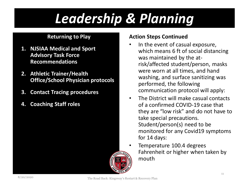#### **Returning to Play**

- **1. NJSIAA Medical and Sport Advisory Task Force Recommendations**
- **2. Athletic Trainer/Health Office/School Physician protocols**
- **3. Contact Tracing procedures**
- **4. Coaching Staff roles**



- In the event of casual exposure, which means 6 ft of social distancing was maintained by the atrisk/affected student/person, masks were worn at all times, and hand washing, and surface sanitizing was performed, the following communication protocol will apply:
- The District will make casual contacts of a confirmed COVID-19 case that they are "low risk" and do not have to take special precautions. Student/person(s) need to be monitored for any Covid19 symptoms for 14 days:
- Temperature 100.4 degrees Fahrenheit or higher when taken by mouth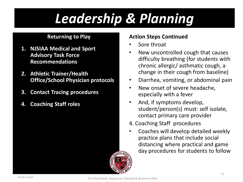#### **Returning to Play**

- **1. NJSIAA Medical and Sport Advisory Task Force Recommendations**
- **2. Athletic Trainer/Health Office/School Physician protocols**
- **3. Contact Tracing procedures**
- **4. Coaching Staff roles**

- Sore throat
- New uncontrolled cough that causes difficulty breathing (for students with chronic allergic/ asthmatic cough, a change in their cough from baseline)
- Diarrhea, vomiting, or abdominal pain
- New onset of severe headache, especially with a fever
- And, if symptoms develop, student/person(s) must: self isolate, contact primary care provider
- 4. Coaching Staff procedures
- Coaches will develop detailed weekly practice plans that include social distancing where practical and game day procedures for students to follow

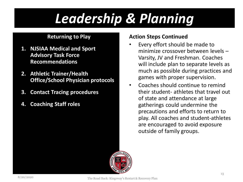#### **Returning to Play**

- **1. NJSIAA Medical and Sport Advisory Task Force Recommendations**
- **2. Athletic Trainer/Health Office/School Physician protocols**
- **3. Contact Tracing procedures**
- **4. Coaching Staff roles**

- Every effort should be made to minimize crossover between levels – Varsity, JV and Freshman. Coaches will include plan to separate levels as much as possible during practices and games with proper supervision.
- Coaches should continue to remind their student- athletes that travel out of state and attendance at large gatherings could undermine the precautions and efforts to return to play. All coaches and student-athletes are encouraged to avoid exposure outside of family groups.

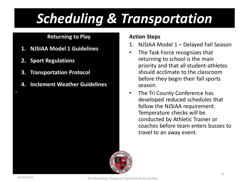#### **Returning to Play**

- **1. NJSIAA Model 1 Guidelines**
- **2. Sport Regulations**
- **3. Transportation Protocol**
- **4. Inclement Weather Guidelines**

#### **Action Steps**

- 1. NJSIAA Model 1 Delayed Fall Season
- The Task Force recognizes that returning to school is the main priority and that all student-athletes should acclimate to the classroom before they begin their fall sports season.
- The Tri County Conference has developed reduced schedules that follow the NJSIAA requirement. Temperature checks will be conducted by Athletic Trainer or coaches before team enters busses to travel to an away event.



П

The Road Back: Kingsway's Restart & Recovery Plan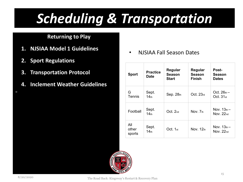#### **Returning to Play**

- **1. NJSIAA Model 1 Guidelines**
- **2. Sport Regulations**
- **3. Transportation Protocol**
- **4. Inclement Weather Guidelines**

• NJSIAA Fall Season Dates

| <b>Sport</b>           | <b>Practice</b><br>Date   | Regular<br><b>Season</b><br><b>Start</b> | Regular<br><b>Season</b><br>Finish | Post-<br>Season<br><b>Dates</b>       |
|------------------------|---------------------------|------------------------------------------|------------------------------------|---------------------------------------|
| G<br>Tennis            | Sept.<br>14 <sub>th</sub> | Sep.28 <sub>th</sub>                     | Oct. 23 <sub>rd</sub>              | Oct. $26th$ –<br>Oct.31 <sub>st</sub> |
| Football               | Sept.<br>14 <sub>th</sub> | Oct. 2nd                                 | Nov. 7th                           | Nov. $13th$<br>Nov. $22nd$            |
| All<br>other<br>sports | Sept.<br>14 <sub>th</sub> | Oct. 1 <sub>st</sub>                     | Nov. 12th                          | Nov. $13th$<br>Nov. $22nd$            |



п

The Road Back: Kingsway's Restart & Recovery Plan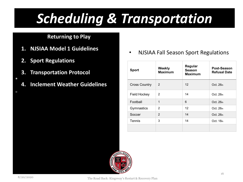#### **Returning to Play**

- **1. NJSIAA Model 1 Guidelines**
- **2. Sport Regulations**
- **3. Transportation Protocol**
- $\overline{\phantom{a}}$

П

**4. Inclement Weather Guidelines**

• NJSIAA Fall Season Sport Regulations

| <b>Sport</b>         | Weekly<br><b>Maximum</b> | Regular<br><b>Season</b><br><b>Maximum</b> | Post-Season<br><b>Refusal Date</b> |
|----------------------|--------------------------|--------------------------------------------|------------------------------------|
| <b>Cross Country</b> | 2                        | 12 <sup>2</sup>                            | Oct. 26th                          |
| <b>Field Hockey</b>  | $\mathcal{P}$            | 14                                         | Oct. 26th                          |
| Football             | 1                        | 6                                          | Oct. 26th                          |
| Gymnastics           | $\mathcal{P}$            | 12                                         | Oct. 26th                          |
| Soccer               | $\mathcal{P}$            | 14                                         | Oct. 26th                          |
| Tennis               | 3                        | 14                                         | Oct. 18th                          |
|                      |                          |                                            |                                    |



The Road Back: Kingsway's Restart & Recovery Plan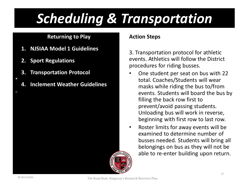#### **Returning to Play**

- **1. NJSIAA Model 1 Guidelines**
- **2. Sport Regulations**
- **3. Transportation Protocol**
- $\overline{\phantom{a}}$

 $\blacksquare$ 

**4. Inclement Weather Guidelines**

#### **Action Steps**

3. Transportation protocol for athletic events. Athletics will follow the District procedures for riding busses.

- One student per seat on bus with 22 total. Coaches/Students will wear masks while riding the bus to/from events. Students will board the bus by filling the back row first to prevent/avoid passing students. Unloading bus will work in reverse, beginning with first row to last row.
- Roster limits for away events will be examined to determine number of busses needed. Students will bring all belongings on bus as they will not be able to re-enter building upon return.

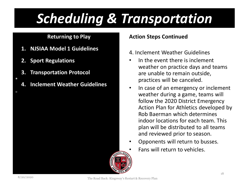#### **Returning to Play**

- **1. NJSIAA Model 1 Guidelines**
- **2. Sport Regulations**
- **3. Transportation Protocol**
- **4. Inclement Weather Guidelines**

#### **Action Steps Continued**

- 4. Inclement Weather Guidelines
- In the event there is inclement weather on practice days and teams are unable to remain outside, practices will be canceled.
- In case of an emergency or inclement weather during a game, teams will follow the 2020 District Emergency Action Plan for Athletics developed by Rob Baerman which determines indoor locations for each team. This plan will be distributed to all teams and reviewed prior to season.
- Opponents will return to busses. • Fans will return to vehicles.



 $\overline{\phantom{a}}$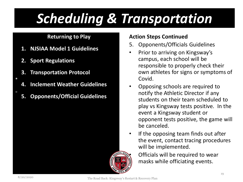#### **Returning to Play**

- **1. NJSIAA Model 1 Guidelines**
- **2. Sport Regulations**
- **3. Transportation Protocol**
- **4. Inclement Weather Guidelines**
- **5. Opponents/Official Guidelines**

#### **Action Steps Continued**

- 5. Opponents/Officials Guidelines
- Prior to arriving on Kingsway's campus, each school will be responsible to properly check their own athletes for signs or symptoms of Covid.
- Opposing schools are required to notify the Athletic Director if any students on their team scheduled to play vs Kingsway tests positive. In the event a Kingsway student or opponent tests positive, the game will be canceled.
- If the opposing team finds out after the event, contact tracing procedures will be implemented.
	- Officials will be required to wear masks while officiating events.

 $\overline{\phantom{a}}$ 

П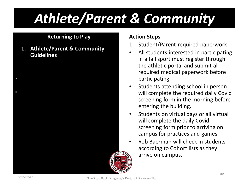### *Athlete/Parent & Community*

#### **Returning to Play**

**1. Athlete/Parent & Community Guidelines** 

#### **Action Steps**

- 1. Student/Parent required paperwork
- All students interested in participating in a fall sport must register through the athletic portal and submit all required medical paperwork before participating.
- Students attending school in person will complete the required daily Covid screening form in the morning before entering the building.
- Students on virtual days or all virtual will complete the daily Covid screening form prior to arriving on campus for practices and games.
- Rob Baerman will check in students according to Cohort lists as they arrive on campus.



 $\mathcal{L}_{\mathcal{A}}$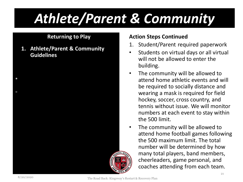### *Athlete/Parent & Community*

#### **Returning to Play**

**1. Athlete/Parent & Community Guidelines** 

### 1. Student/Parent required paperwork

**Action Steps Continued**

- Students on virtual days or all virtual will not be allowed to enter the building.
- The community will be allowed to attend home athletic events and will be required to socially distance and wearing a mask is required for field hockey, soccer, cross country, and tennis without issue. We will monitor numbers at each event to stay within the 500 limit.
- The community will be allowed to attend home football games following the 500 maximum limit. The total number will be determined by how many total players, band members, cheerleaders, game personal, and coaches attending from each team.



 $\mathcal{L}_{\mathcal{A}}$ 

The Road Back: Kingsway's Restart & Recovery Plan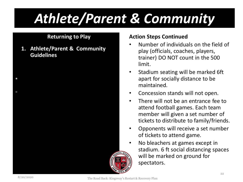### *Athlete/Parent & Community*

#### **Returning to Play**

**1. Athlete/Parent & Community Guidelines** 

### **Action Steps Continued**

- Number of individuals on the field of play (officials, coaches, players, trainer) DO NOT count in the 500 limit.
- Stadium seating will be marked 6ft apart for socially distance to be maintained.
- Concession stands will not open.
- There will not be an entrance fee to attend football games. Each team member will given a set number of tickets to distribute to family/friends.
- Opponents will receive a set number of tickets to attend game.
- No bleachers at games except in stadium. 6 ft social distancing spaces will be marked on ground for spectators.



 $\mathcal{L}_{\mathcal{A}}$ 

The Road Back: Kingsway's Restart & Recovery Plan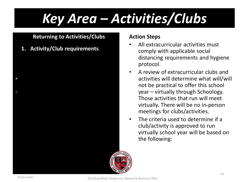### *Key Area – Activities/Clubs*

#### **Returning to Activities/Clubs**

**1. Activity/Club requirements**

#### **Action Steps**

- All extracurricular activities must comply with applicable social distancing requirements and hygiene protocol.
- A review of extracurricular clubs and activities will determine what will/will not be practical to offer this school year – virtually through Schoology. Those activities that run will meet virtually. There will be no in-person meetings for clubs/activities.
- The criteria used to determine if a club/activity is approved to run virtually school year will be based on the following:



 $\mathcal{L}_{\mathcal{A}}$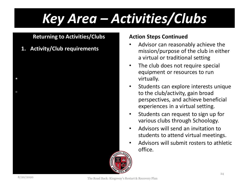### *Key Area – Activities/Clubs*

#### **Returning to Activities/Clubs**

**1. Activity/Club requirements**

#### **Action Steps Continued**

- Advisor can reasonably achieve the mission/purpose of the club in either a virtual or traditional setting
- The club does not require special equipment or resources to run virtually.
- Students can explore interests unique to the club/activity, gain broad perspectives, and achieve beneficial experiences in a virtual setting.
- Students can request to sign up for various clubs through Schoology.
- Advisors will send an invitation to students to attend virtual meetings.
- Advisors will submit rosters to athletic office.



 $\mathcal{L}_{\mathcal{A}}$